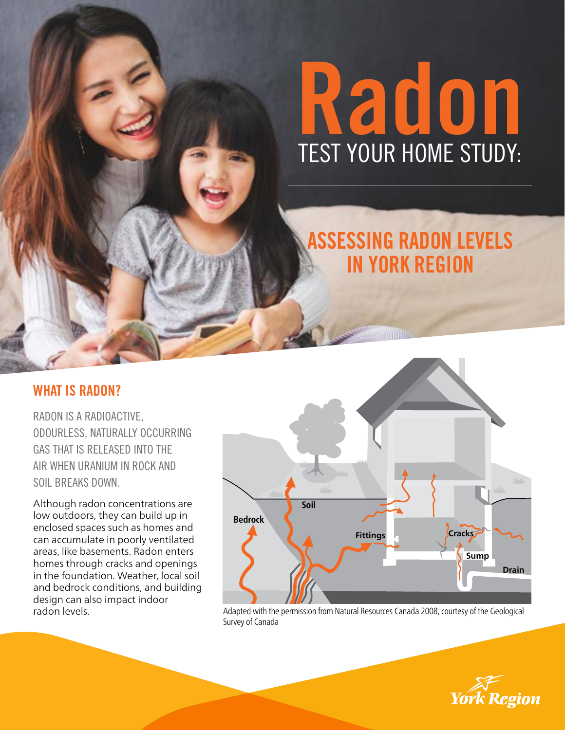# Radon TEST YOUR HOME STUDY:

# ASSESSING RADON LEVELS IN YORK REGION

# WHAT IS RADON?

RADON IS A RADIOACTIVE, ODOURLESS, NATURALLY OCCURRING GAS THAT IS RELEASED INTO THE AIR WHEN URANIUM IN ROCK AND SOIL BREAKS DOWN.

Although radon concentrations are low outdoors, they can build up in enclosed spaces such as homes and can accumulate in poorly ventilated areas, like basements. Radon enters homes through cracks and openings in the foundation. Weather, local soil and bedrock conditions, and building design can also impact indoor radon levels.



Adapted with the permission from Natural Resources Canada 2008, courtesy of the Geological Survey of Canada

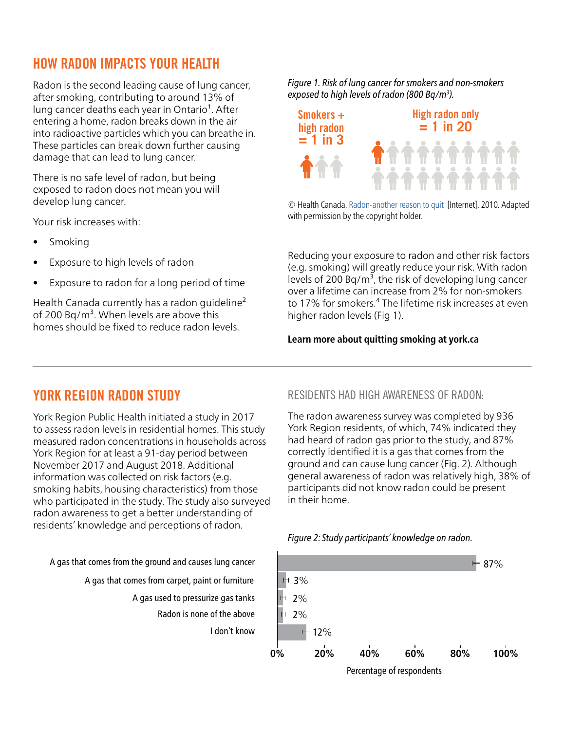# HOW RADON IMPACTS YOUR HEALTH

Radon is the second leading cause of lung cancer, after smoking, contributing to around 13% of lung cancer deaths each year in Ontario<sup>1</sup>. After entering a home, radon breaks down in the air into radioactive particles which you can breathe in. These particles can break down further causing damage that can lead to lung cancer.

There is no safe level of radon, but being exposed to radon does not mean you will develop lung cancer.

Your risk increases with:

- Smoking
- Exposure to high levels of radon
- Exposure to radon for a long period of time

Health Canada currently has a radon quideline<sup>2</sup> of 200 Bq/m<sup>3</sup>. When levels are above this homes should be fixed to reduce radon levels.

*Figure 1. Risk of lung cancer for smokers and non-smokers exposed to high levels of radon (800 Bq/m3 ).*



© Health Canada. [Radon-another reason to quit](https://www.canada.ca/content/dam/hc-sc/documents/services/health/publications/radon/27-P_1107-Another-Reason-to-Quit-Jan2018-EN-FINAL.pdf)[Internet]. 2010. Adapted with permission by the copyright holder.

Reducing your exposure to radon and other risk factors (e.g. smoking) will greatly reduce your risk. With radon levels of 200 Bq/m<sup>3</sup>, the risk of developing lung cancer over a lifetime can increase from 2% for non-smokers to 17% for smokers.<sup>4</sup> The lifetime risk increases at even higher radon levels (Fig 1).

#### **Learn more about quitting smoking at york.ca**

# YORK REGION RADON STUDY

York Region Public Health initiated a study in 2017 to assess radon levels in residential homes. This study measured radon concentrations in households across York Region for at least a 91-day period between November 2017 and August 2018. Additional information was collected on risk factors (e.g. smoking habits, housing characteristics) from those who participated in the study. The study also surveyed radon awareness to get a better understanding of residents' knowledge and perceptions of radon.

A gas that comes from the ground and causes lung cancer

A gas that comes from carpet, paint or furniture A gas used to pressurize gas tanks

Radon is none of the above

I don't know

#### RESIDENTS HAD HIGH AWARENESS OF RADON:

The radon awareness survey was completed by 936 York Region residents, of which, 74% indicated they had heard of radon gas prior to the study, and 87% correctly identified it is a gas that comes from the ground and can cause lung cancer (Fig. 2). Although general awareness of radon was relatively high, 38% of participants did not know radon could be present in their home.



*Figure 2: Study participants' knowledge on radon.*

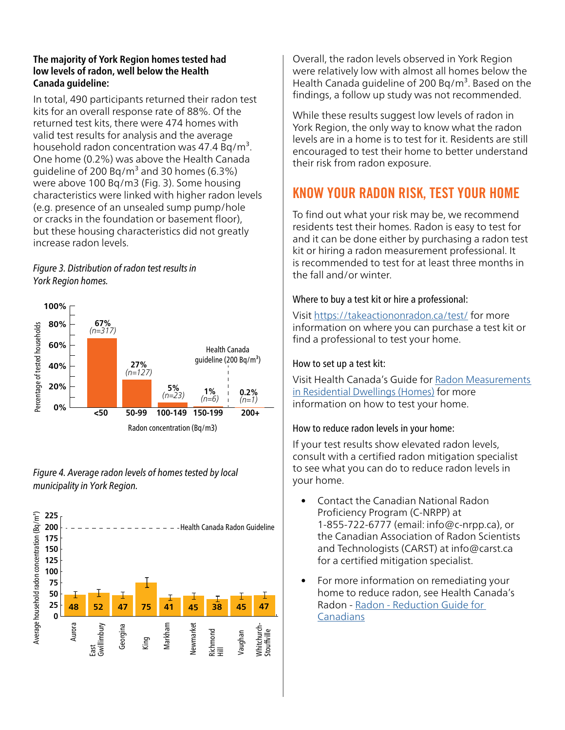#### **The majority of York Region homes tested had low levels of radon, well below the Health Canada guideline:**

In total, 490 participants returned their radon test kits for an overall response rate of 88%. Of the returned test kits, there were 474 homes with valid test results for analysis and the average household radon concentration was  $47.4$  Bg/m<sup>3</sup>. One home (0.2%) was above the Health Canada guideline of 200 Bq/m<sup>3</sup> and 30 homes (6.3%) were above 100 Bq/m3 (Fig. 3). Some housing characteristics were linked with higher radon levels (e.g. presence of an unsealed sump pump/hole or cracks in the foundation or basement floor), but these housing characteristics did not greatly increase radon levels.

#### *Figure 3. Distribution of radon test results in York Region homes.*



*Figure 4. Average radon levels of homes tested by local municipality in York Region.*



Overall, the radon levels observed in York Region were relatively low with almost all homes below the Health Canada guideline of 200 Bg/ $m<sup>3</sup>$ . Based on the findings, a follow up study was not recommended.

While these results suggest low levels of radon in York Region, the only way to know what the radon levels are in a home is to test for it. Residents are still encouraged to test their home to better understand their risk from radon exposure.

# KNOW YOUR RADON RISK, TEST YOUR HOME

To find out what your risk may be, we recommend residents test their homes. Radon is easy to test for and it can be done either by purchasing a radon test kit or hiring a radon measurement professional. It is recommended to test for at least three months in the fall and/or winter.

#### Where to buy a test kit or hire a professional:

Visit <https://takeactiononradon.ca/test/> for more information on where you can purchase a test kit or find a professional to test your home.

#### How to set up a test kit:

Visit Health Canada's Guide for [Radon Measurements](https://www.canada.ca/en/health-canada/services/publications/health-risks-safety/guide-radon-measurements-residential-dwellings.html)  [in Residential Dwellings \(Homes\)](https://www.canada.ca/en/health-canada/services/publications/health-risks-safety/guide-radon-measurements-residential-dwellings.html) for more information on how to test your home.

#### How to reduce radon levels in your home:

If your test results show elevated radon levels, consult with a certified radon mitigation specialist to see what you can do to reduce radon levels in your home.

- Contact the Canadian National Radon Proficiency Program (C-NRPP) at 1-855-722-6777 (email: info@c-nrpp.ca), or the Canadian Association of Radon Scientists and Technologists (CARST) at info@carst.ca for a certified mitigation specialist.
- For more information on remediating your home to reduce radon, see Health Canada's Radon - [Radon - Reduction Guide for](https://www.canada.ca/en/health-canada/services/environmental-workplace-health/reports-publications/radiation/radon-reduction-guide-canadians-health-canada-2013.html)